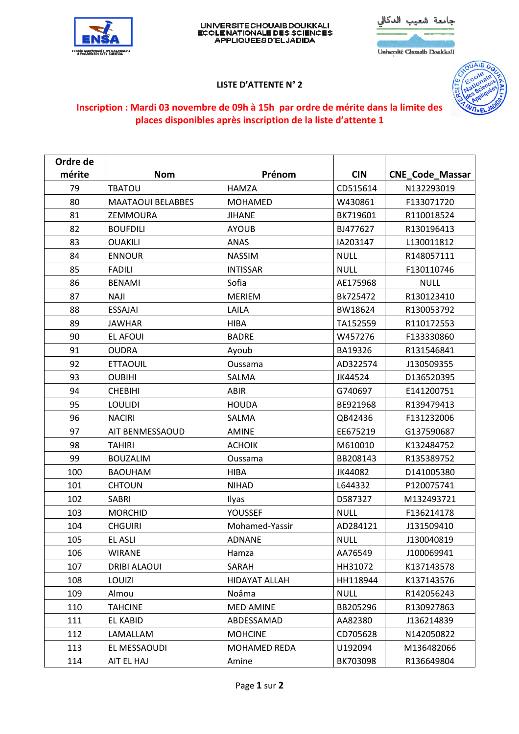

## UNIVERSITE CHOUAIB DOUKKALI<br>ECOLE NATIONALE DES SCIENCES<br>APPLIQUEES D'EL JADIDA



Université Chouaib Doukkali

## **LISTE D'ATTENTE N° 2**



## **Inscription : Mardi 03 novembre de 09h à 15h par ordre de mérite dans la limite des places disponibles après inscription de la liste d'attente 1**

| Ordre de |                          |                      |             |                        |
|----------|--------------------------|----------------------|-------------|------------------------|
| mérite   | <b>Nom</b>               | Prénom               | <b>CIN</b>  | <b>CNE_Code_Massar</b> |
| 79       | <b>TBATOU</b>            | <b>HAMZA</b>         | CD515614    | N132293019             |
| 80       | <b>MAATAOUI BELABBES</b> | <b>MOHAMED</b>       | W430861     | F133071720             |
| 81       | <b>ZEMMOURA</b>          | <b>JIHANE</b>        | BK719601    | R110018524             |
| 82       | <b>BOUFDILI</b>          | <b>AYOUB</b>         | BJ477627    | R130196413             |
| 83       | <b>OUAKILI</b>           | ANAS                 | IA203147    | L130011812             |
| 84       | <b>ENNOUR</b>            | <b>NASSIM</b>        | <b>NULL</b> | R148057111             |
| 85       | <b>FADILI</b>            | <b>INTISSAR</b>      | <b>NULL</b> | F130110746             |
| 86       | <b>BENAMI</b>            | Sofia                | AE175968    | <b>NULL</b>            |
| 87       | <b>NAJI</b>              | <b>MERIEM</b>        | Bk725472    | R130123410             |
| 88       | <b>ESSAJAI</b>           | LAILA                | BW18624     | R130053792             |
| 89       | <b>JAWHAR</b>            | <b>HIBA</b>          | TA152559    | R110172553             |
| 90       | EL AFOUI                 | <b>BADRE</b>         | W457276     | F133330860             |
| 91       | <b>OUDRA</b>             | Ayoub                | BA19326     | R131546841             |
| 92       | <b>ETTAOUIL</b>          | Oussama              | AD322574    | J130509355             |
| 93       | <b>OUBIHI</b>            | SALMA                | JK44524     | D136520395             |
| 94       | <b>CHEBIHI</b>           | <b>ABIR</b>          | G740697     | E141200751             |
| 95       | <b>LOULIDI</b>           | <b>HOUDA</b>         | BE921968    | R139479413             |
| 96       | <b>NACIRI</b>            | SALMA                | QB42436     | F131232006             |
| 97       | AIT BENMESSAOUD          | <b>AMINE</b>         | EE675219    | G137590687             |
| 98       | <b>TAHIRI</b>            | <b>ACHOIK</b>        | M610010     | K132484752             |
| 99       | <b>BOUZALIM</b>          | Oussama              | BB208143    | R135389752             |
| 100      | <b>BAOUHAM</b>           | <b>HIBA</b>          | JK44082     | D141005380             |
| 101      | <b>CHTOUN</b>            | <b>NIHAD</b>         | L644332     | P120075741             |
| 102      | <b>SABRI</b>             | Ilyas                | D587327     | M132493721             |
| 103      | <b>MORCHID</b>           | <b>YOUSSEF</b>       | <b>NULL</b> | F136214178             |
| 104      | <b>CHGUIRI</b>           | Mohamed-Yassir       | AD284121    | J131509410             |
| 105      | <b>EL ASLI</b>           | ADNANE               | <b>NULL</b> | J130040819             |
| 106      | <b>WIRANE</b>            | Hamza                | AA76549     | J100069941             |
| 107      | <b>DRIBI ALAOUI</b>      | SARAH                | HH31072     | K137143578             |
| 108      | LOUIZI                   | <b>HIDAYAT ALLAH</b> | HH118944    | K137143576             |
| 109      | Almou                    | Noâma                | <b>NULL</b> | R142056243             |
| 110      | <b>TAHCINE</b>           | <b>MED AMINE</b>     | BB205296    | R130927863             |
| 111      | <b>EL KABID</b>          | ABDESSAMAD           | AA82380     | J136214839             |
| 112      | LAMALLAM                 | <b>MOHCINE</b>       | CD705628    | N142050822             |
| 113      | EL MESSAOUDI             | MOHAMED REDA         | U192094     | M136482066             |
| 114      | AIT EL HAJ               | Amine                | BK703098    | R136649804             |